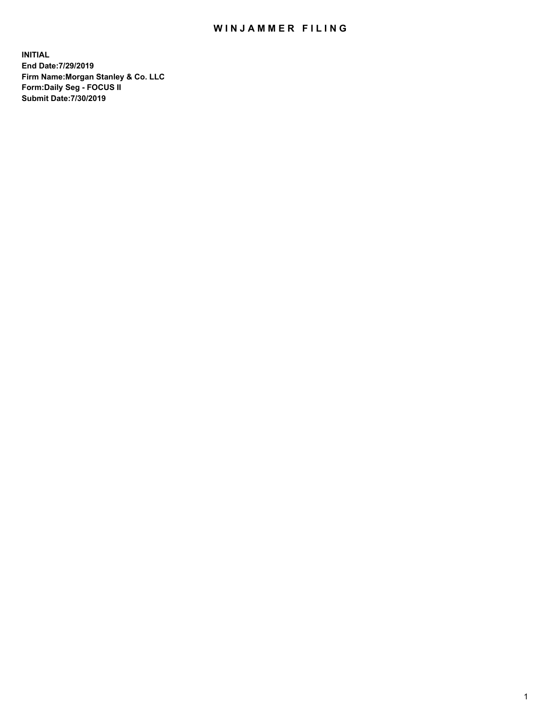## WIN JAMMER FILING

**INITIAL End Date:7/29/2019 Firm Name:Morgan Stanley & Co. LLC Form:Daily Seg - FOCUS II Submit Date:7/30/2019**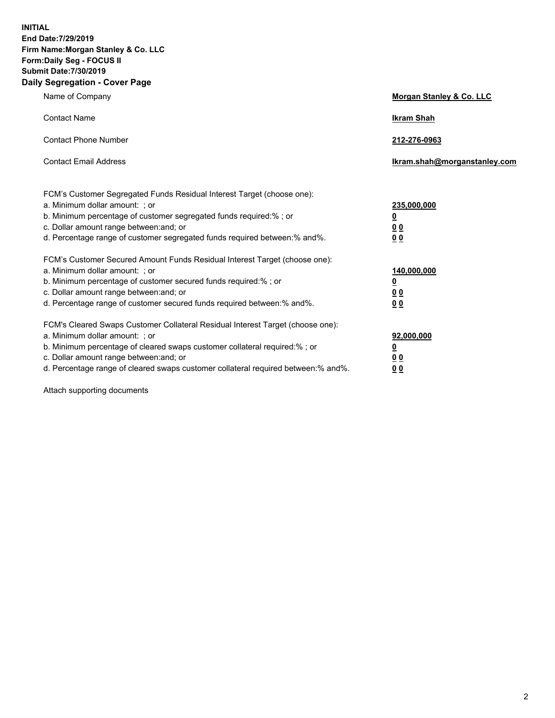**INITIAL End Date:7/29/2019 Firm Name:Morgan Stanley & Co. LLC Form:Daily Seg - FOCUS II Submit Date:7/30/2019 Daily Segregation - Cover Page**

| Name of Company                                                                   | Morgan Stanley & Co. LLC     |
|-----------------------------------------------------------------------------------|------------------------------|
| <b>Contact Name</b>                                                               | <b>Ikram Shah</b>            |
| <b>Contact Phone Number</b>                                                       | 212-276-0963                 |
| <b>Contact Email Address</b>                                                      | Ikram.shah@morganstanley.com |
| FCM's Customer Segregated Funds Residual Interest Target (choose one):            |                              |
| a. Minimum dollar amount: ; or                                                    | 235,000,000                  |
| b. Minimum percentage of customer segregated funds required:%; or                 | <u>0</u>                     |
| c. Dollar amount range between: and; or                                           | 0 <sub>0</sub>               |
| d. Percentage range of customer segregated funds required between: % and %.       | 0 <sub>0</sub>               |
| FCM's Customer Secured Amount Funds Residual Interest Target (choose one):        |                              |
| a. Minimum dollar amount: ; or                                                    | 140,000,000                  |
| b. Minimum percentage of customer secured funds required:%; or                    | <u>0</u>                     |
| c. Dollar amount range between: and; or                                           | 0 <sub>0</sub>               |
| d. Percentage range of customer secured funds required between:% and%.            | 0 <sub>0</sub>               |
| FCM's Cleared Swaps Customer Collateral Residual Interest Target (choose one):    |                              |
| a. Minimum dollar amount: ; or                                                    | 92,000,000                   |
| b. Minimum percentage of cleared swaps customer collateral required:% ; or        | <u>0</u>                     |
| c. Dollar amount range between: and; or                                           | <u>00</u>                    |
| d. Percentage range of cleared swaps customer collateral required between:% and%. | 00                           |

Attach supporting documents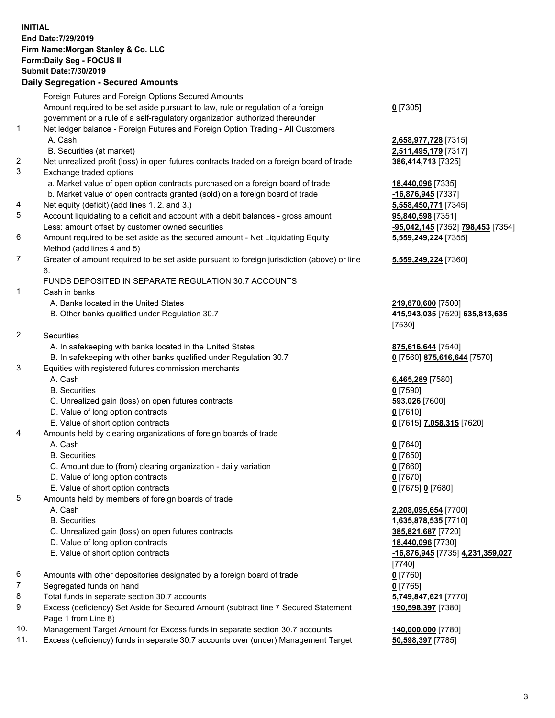## **INITIAL End Date:7/29/2019 Firm Name:Morgan Stanley & Co. LLC Form:Daily Seg - FOCUS II Submit Date:7/30/2019**

## **Daily Segregation - Secured Amounts**

Foreign Futures and Foreign Options Secured Amounts Amount required to be set aside pursuant to law, rule or regulation of a foreign government or a rule of a self-regulatory organization authorized thereunder 1. Net ledger balance - Foreign Futures and Foreign Option Trading - All Customers A. Cash **2,658,977,728** [7315] B. Securities (at market) **2,511,495,179** [7317] 2. Net unrealized profit (loss) in open futures contracts traded on a foreign board of trade **386,414,713** [7325] 3. Exchange traded options a. Market value of open option contracts purchased on a foreign board of trade **18,440,096** [7335] b. Market value of open contracts granted (sold) on a foreign board of trade **-16,876,945** [7337] 4. Net equity (deficit) (add lines 1. 2. and 3.) **5,558,450,771** [7345] 5. Account liquidating to a deficit and account with a debit balances - gross amount **95,840,598** [7351] Less: amount offset by customer owned securities **-95,042,145** [7352] **798,453** [7354] 6. Amount required to be set aside as the secured amount - Net Liquidating Equity Method (add lines 4 and 5) 7. Greater of amount required to be set aside pursuant to foreign jurisdiction (above) or line 6. FUNDS DEPOSITED IN SEPARATE REGULATION 30.7 ACCOUNTS 1. Cash in banks A. Banks located in the United States **219,870,600** [7500] B. Other banks qualified under Regulation 30.7 **415,943,035** [7520] **635,813,635** 2. Securities A. In safekeeping with banks located in the United States **875,616,644** [7540] B. In safekeeping with other banks qualified under Regulation 30.7 **0** [7560] **875,616,644** [7570] 3. Equities with registered futures commission merchants A. Cash **6,465,289** [7580] B. Securities **0** [7590] C. Unrealized gain (loss) on open futures contracts **593,026** [7600] D. Value of long option contracts **0** [7610] E. Value of short option contracts **0** [7615] **7,058,315** [7620] 4. Amounts held by clearing organizations of foreign boards of trade A. Cash **0** [7640] B. Securities **0** [7650] C. Amount due to (from) clearing organization - daily variation **0** [7660] D. Value of long option contracts **0** [7670] E. Value of short option contracts **0** [7675] **0** [7680] 5. Amounts held by members of foreign boards of trade A. Cash **2,208,095,654** [7700] B. Securities **1,635,878,535** [7710] C. Unrealized gain (loss) on open futures contracts **385,821,687** [7720] D. Value of long option contracts **18,440,096** [7730] E. Value of short option contracts **-16,876,945** [7735] **4,231,359,027** 6. Amounts with other depositories designated by a foreign board of trade **0** [7760] 7. Segregated funds on hand **0** [7765] 8. Total funds in separate section 30.7 accounts **5,749,847,621** [7770] 9. Excess (deficiency) Set Aside for Secured Amount (subtract line 7 Secured Statement Page 1 from Line 8)

- 10. Management Target Amount for Excess funds in separate section 30.7 accounts **140,000,000** [7780]
- 11. Excess (deficiency) funds in separate 30.7 accounts over (under) Management Target **50,598,397** [7785]

**0** [7305]

**5,559,249,224** [7355]

## **5,559,249,224** [7360]

[7530]

[7740] **190,598,397** [7380]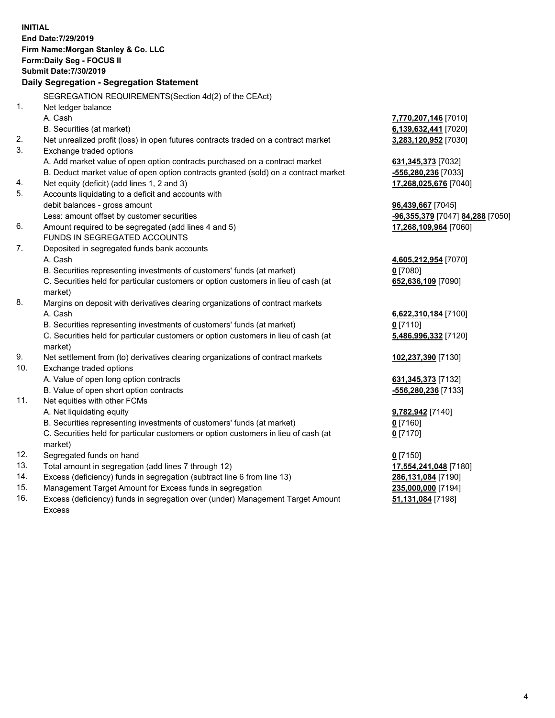**INITIAL End Date:7/29/2019 Firm Name:Morgan Stanley & Co. LLC Form:Daily Seg - FOCUS II Submit Date:7/30/2019 Daily Segregation - Segregation Statement** SEGREGATION REQUIREMENTS(Section 4d(2) of the CEAct) 1. Net ledger balance A. Cash **7,770,207,146** [7010] B. Securities (at market) **6,139,632,441** [7020] 2. Net unrealized profit (loss) in open futures contracts traded on a contract market **3,283,120,952** [7030] 3. Exchange traded options A. Add market value of open option contracts purchased on a contract market **631,345,373** [7032] B. Deduct market value of open option contracts granted (sold) on a contract market **-556,280,236** [7033] 4. Net equity (deficit) (add lines 1, 2 and 3) **17,268,025,676** [7040] 5. Accounts liquidating to a deficit and accounts with debit balances - gross amount **96,439,667** [7045] Less: amount offset by customer securities **-96,355,379** [7047] **84,288** [7050] 6. Amount required to be segregated (add lines 4 and 5) **17,268,109,964** [7060] FUNDS IN SEGREGATED ACCOUNTS 7. Deposited in segregated funds bank accounts A. Cash **4,605,212,954** [7070] B. Securities representing investments of customers' funds (at market) **0** [7080] C. Securities held for particular customers or option customers in lieu of cash (at market) **652,636,109** [7090] 8. Margins on deposit with derivatives clearing organizations of contract markets A. Cash **6,622,310,184** [7100] B. Securities representing investments of customers' funds (at market) **0** [7110] C. Securities held for particular customers or option customers in lieu of cash (at market) **5,486,996,332** [7120] 9. Net settlement from (to) derivatives clearing organizations of contract markets **102,237,390** [7130] 10. Exchange traded options A. Value of open long option contracts **631,345,373** [7132] B. Value of open short option contracts **-556,280,236** [7133] 11. Net equities with other FCMs A. Net liquidating equity **9,782,942** [7140] B. Securities representing investments of customers' funds (at market) **0** [7160] C. Securities held for particular customers or option customers in lieu of cash (at market) **0** [7170] 12. Segregated funds on hand **0** [7150] 13. Total amount in segregation (add lines 7 through 12) **17,554,241,048** [7180] 14. Excess (deficiency) funds in segregation (subtract line 6 from line 13) **286,131,084** [7190] 15. Management Target Amount for Excess funds in segregation **235,000,000** [7194] **51,131,084** [7198]

16. Excess (deficiency) funds in segregation over (under) Management Target Amount Excess